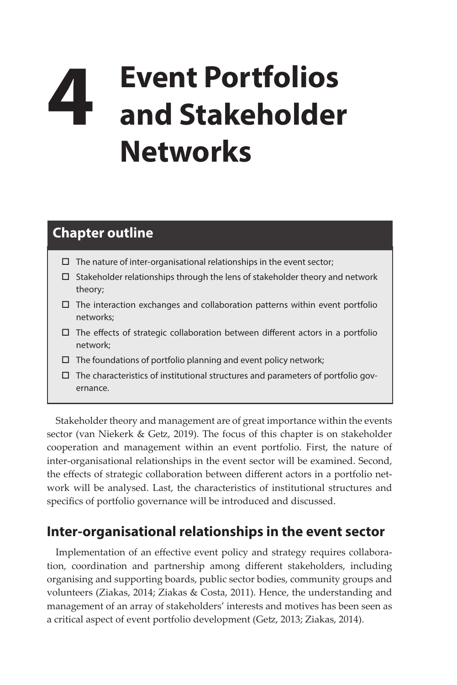# **4 Event Portfolios and Stakeholder Networks**

## **Chapter outline**

- $\square$  The nature of inter-organisational relationships in the event sector;
- $\square$  Stakeholder relationships through the lens of stakeholder theory and network theory;
- $\Box$  The interaction exchanges and collaboration patterns within event portfolio networks;
- $\Box$  The effects of strategic collaboration between different actors in a portfolio network;
- $\square$  The foundations of portfolio planning and event policy network;
- $\Box$  The characteristics of institutional structures and parameters of portfolio governance.

Stakeholder theory and management are of great importance within the events sector (van Niekerk & Getz, 2019). The focus of this chapter is on stakeholder cooperation and management within an event portfolio. First, the nature of inter-organisational relationships in the event sector will be examined. Second, the effects of strategic collaboration between different actors in a portfolio network will be analysed. Last, the characteristics of institutional structures and specifics of portfolio governance will be introduced and discussed.

### **Inter-organisational relationships in the event sector**

Implementation of an effective event policy and strategy requires collaboration, coordination and partnership among different stakeholders, including organising and supporting boards, public sector bodies, community groups and volunteers (Ziakas, 2014; Ziakas & Costa, 2011). Hence, the understanding and management of an array of stakeholders' interests and motives has been seen as a critical aspect of event portfolio development (Getz, 2013; Ziakas, 2014).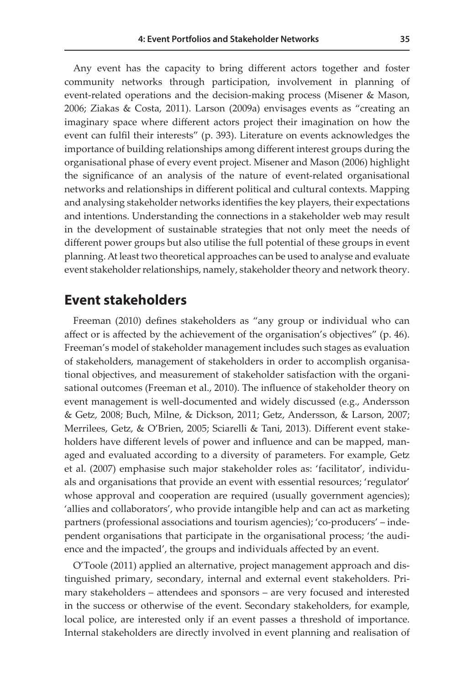Any event has the capacity to bring different actors together and foster community networks through participation, involvement in planning of event-related operations and the decision-making process (Misener & Mason, 2006; Ziakas & Costa, 2011). Larson (2009a) envisages events as "creating an imaginary space where different actors project their imagination on how the event can fulfil their interests" (p. 393). Literature on events acknowledges the importance of building relationships among different interest groups during the organisational phase of every event project. Misener and Mason (2006) highlight the significance of an analysis of the nature of event-related organisational networks and relationships in different political and cultural contexts. Mapping and analysing stakeholder networks identifies the key players, their expectations and intentions. Understanding the connections in a stakeholder web may result in the development of sustainable strategies that not only meet the needs of different power groups but also utilise the full potential of these groups in event planning. At least two theoretical approaches can be used to analyse and evaluate event stakeholder relationships, namely, stakeholder theory and network theory.

#### **Event stakeholders**

Freeman (2010) defines stakeholders as "any group or individual who can affect or is affected by the achievement of the organisation's objectives" (p. 46). Freeman's model of stakeholder management includes such stages as evaluation of stakeholders, management of stakeholders in order to accomplish organisational objectives, and measurement of stakeholder satisfaction with the organisational outcomes (Freeman et al., 2010). The influence of stakeholder theory on event management is well-documented and widely discussed (e.g., Andersson & Getz, 2008; Buch, Milne, & Dickson, 2011; Getz, Andersson, & Larson, 2007; Merrilees, Getz, & O'Brien, 2005; Sciarelli & Tani, 2013). Different event stakeholders have different levels of power and influence and can be mapped, managed and evaluated according to a diversity of parameters. For example, Getz et al. (2007) emphasise such major stakeholder roles as: 'facilitator', individuals and organisations that provide an event with essential resources; 'regulator' whose approval and cooperation are required (usually government agencies); 'allies and collaborators', who provide intangible help and can act as marketing partners (professional associations and tourism agencies); 'co-producers' – independent organisations that participate in the organisational process; 'the audience and the impacted', the groups and individuals affected by an event.

O'Toole (2011) applied an alternative, project management approach and distinguished primary, secondary, internal and external event stakeholders. Primary stakeholders – attendees and sponsors – are very focused and interested in the success or otherwise of the event. Secondary stakeholders, for example, local police, are interested only if an event passes a threshold of importance. Internal stakeholders are directly involved in event planning and realisation of